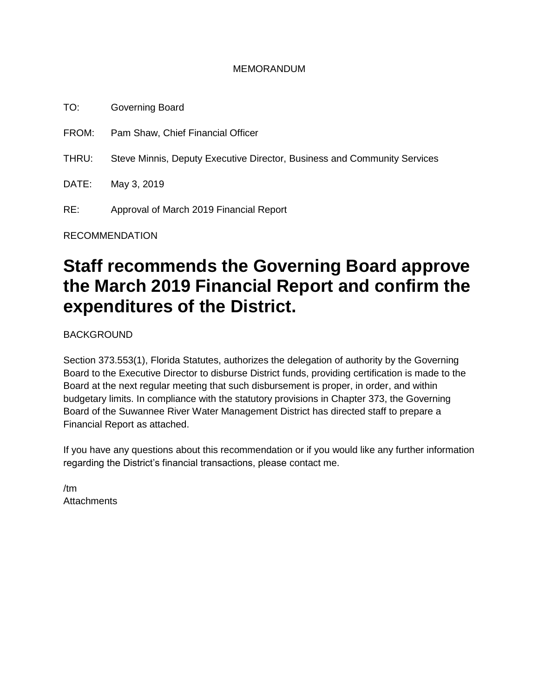#### MEMORANDUM

TO: Governing Board FROM: Pam Shaw, Chief Financial Officer THRU: Steve Minnis, Deputy Executive Director, Business and Community Services DATE: May 3, 2019 RE: Approval of March 2019 Financial Report

RECOMMENDATION

# **Staff recommends the Governing Board approve the March 2019 Financial Report and confirm the expenditures of the District.**

BACKGROUND

Section 373.553(1), Florida Statutes, authorizes the delegation of authority by the Governing Board to the Executive Director to disburse District funds, providing certification is made to the Board at the next regular meeting that such disbursement is proper, in order, and within budgetary limits. In compliance with the statutory provisions in Chapter 373, the Governing Board of the Suwannee River Water Management District has directed staff to prepare a Financial Report as attached.

If you have any questions about this recommendation or if you would like any further information regarding the District's financial transactions, please contact me.

/tm **Attachments**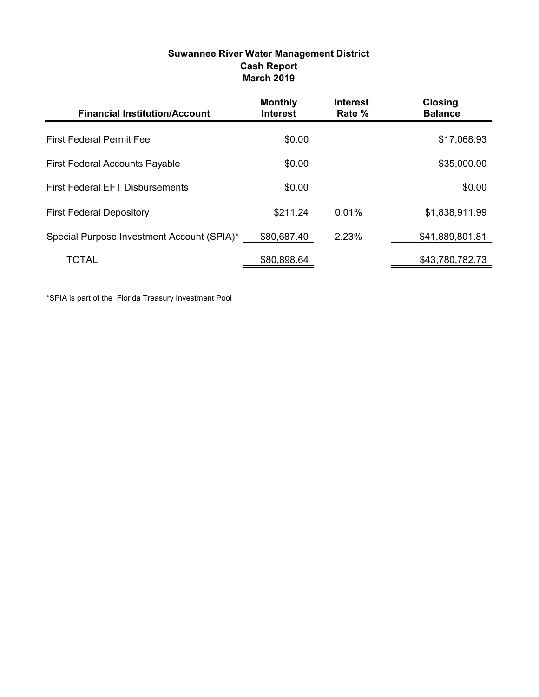| Suwannee River Water Management District |
|------------------------------------------|
| <b>Cash Report</b>                       |
| <b>March 2019</b>                        |

| <b>Financial Institution/Account</b>       | <b>Monthly</b><br><b>Interest</b> | <b>Interest</b><br>Rate % | <b>Closing</b><br><b>Balance</b> |
|--------------------------------------------|-----------------------------------|---------------------------|----------------------------------|
| <b>First Federal Permit Fee</b>            | \$0.00                            |                           | \$17,068.93                      |
| <b>First Federal Accounts Payable</b>      | \$0.00                            |                           | \$35,000.00                      |
| <b>First Federal EFT Disbursements</b>     | \$0.00                            |                           | \$0.00                           |
| <b>First Federal Depository</b>            | \$211.24                          | 0.01%                     | \$1,838,911.99                   |
| Special Purpose Investment Account (SPIA)* | \$80,687.40                       | 2.23%                     | \$41,889,801.81                  |
| TOTAL                                      | \$80,898.64                       |                           | \$43,780,782.73                  |

\*SPIA is part of the Florida Treasury Investment Pool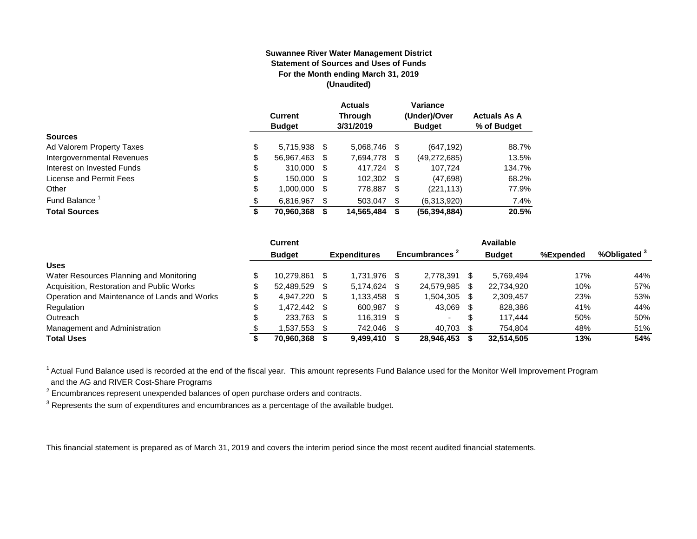#### **Suwannee River Water Management District Statement of Sources and Uses of Funds For the Month ending March 31, 2019 (Unaudited)**

|                            | <b>Current</b><br><b>Budget</b> |   | <b>Actuals</b><br><b>Through</b><br>3/31/2019 |    | Variance<br>(Under)/Over<br><b>Budget</b> | <b>Actuals As A</b><br>% of Budget |
|----------------------------|---------------------------------|---|-----------------------------------------------|----|-------------------------------------------|------------------------------------|
| <b>Sources</b>             |                                 |   |                                               |    |                                           |                                    |
| Ad Valorem Property Taxes  | \$<br>5.715.938 \$              |   | 5,068,746 \$                                  |    | (647, 192)                                | 88.7%                              |
| Intergovernmental Revenues | \$<br>56,967,463 \$             |   | 7,694,778                                     | S  | (49, 272, 685)                            | 13.5%                              |
| Interest on Invested Funds | \$<br>310,000 \$                |   | 417.724 \$                                    |    | 107.724                                   | 134.7%                             |
| License and Permit Fees    | \$<br>150,000 \$                |   | 102,302 \$                                    |    | (47,698)                                  | 68.2%                              |
| Other                      | \$<br>1,000,000 \$              |   | 778,887 \$                                    |    | (221, 113)                                | 77.9%                              |
| Fund Balance <sup>1</sup>  | \$<br>6.816.967                 | S | 503.047                                       | \$ | (6,313,920)                               | 7.4%                               |
| <b>Total Sources</b>       | 70,960,368                      |   | 14,565,484                                    | S  | (56, 394, 884)                            | 20.5%                              |

|                                              | Current       |      |                     |      |                           |     | Available     |           |              |
|----------------------------------------------|---------------|------|---------------------|------|---------------------------|-----|---------------|-----------|--------------|
|                                              | <b>Budget</b> |      | <b>Expenditures</b> |      | Encumbrances <sup>2</sup> |     | <b>Budget</b> | %Expended | %Obligated ° |
| <b>Uses</b>                                  |               |      |                     |      |                           |     |               |           |              |
| Water Resources Planning and Monitoring      | 10.279.861    |      | 1.731.976           | -SS  | 2.778.391                 | S   | 5,769,494     | 17%       | 44%          |
| Acquisition, Restoration and Public Works    | 52,489,529    | - \$ | 5.174.624           |      | 24,579,985                | S   | 22,734,920    | 10%       | 57%          |
| Operation and Maintenance of Lands and Works | 4.947.220 \$  |      | 1,133,458           | \$.  | 1,504,305                 | \$. | 2,309,457     | 23%       | 53%          |
| Regulation                                   | 472.442 \$    |      | 600,987             | -SS  | 43,069                    | -S  | 828,386       | 41%       | 44%          |
| Outreach                                     | 233,763 \$    |      | 116,319             | - \$ |                           | S   | 117.444       | 50%       | 50%          |
| Management and Administration                | .537,553      |      | 742,046             |      | 40,703                    |     | 754.804       | 48%       | 51%          |
| <b>Total Uses</b>                            | 70,960,368    |      | 9,499,410           |      | 28,946,453                |     | 32.514.505    | 13%       | 54%          |

<sup>1</sup> Actual Fund Balance used is recorded at the end of the fiscal year. This amount represents Fund Balance used for the Monitor Well Improvement Program and the AG and RIVER Cost-Share Programs

 $2$  Encumbrances represent unexpended balances of open purchase orders and contracts.

 $3$  Represents the sum of expenditures and encumbrances as a percentage of the available budget.

This financial statement is prepared as of March 31, 2019 and covers the interim period since the most recent audited financial statements.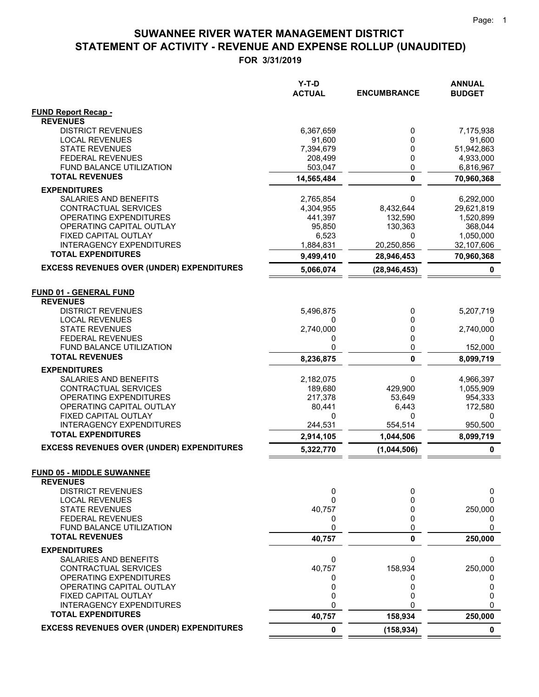|                                                   | Y-T-D<br><b>ACTUAL</b> | <b>ENCUMBRANCE</b> | <b>ANNUAL</b><br><b>BUDGET</b> |
|---------------------------------------------------|------------------------|--------------------|--------------------------------|
| <b>FUND Report Recap -</b>                        |                        |                    |                                |
| <b>REVENUES</b>                                   |                        |                    |                                |
| <b>DISTRICT REVENUES</b>                          | 6,367,659              | 0<br>0             | 7,175,938                      |
| <b>LOCAL REVENUES</b><br><b>STATE REVENUES</b>    | 91,600<br>7,394,679    | 0                  | 91,600<br>51,942,863           |
| <b>FEDERAL REVENUES</b>                           | 208,499                | 0                  | 4,933,000                      |
| <b>FUND BALANCE UTILIZATION</b>                   | 503,047                | 0                  | 6,816,967                      |
| <b>TOTAL REVENUES</b>                             | 14,565,484             | $\mathbf{0}$       | 70,960,368                     |
| <b>EXPENDITURES</b>                               |                        |                    |                                |
| SALARIES AND BENEFITS                             | 2,765,854              | 0                  | 6,292,000                      |
| CONTRACTUAL SERVICES                              | 4,304,955              | 8,432,644          | 29,621,819                     |
| OPERATING EXPENDITURES                            | 441,397                | 132,590            | 1,520,899                      |
| OPERATING CAPITAL OUTLAY                          | 95,850                 | 130,363            | 368,044                        |
| FIXED CAPITAL OUTLAY                              | 6,523                  | 0                  | 1,050,000                      |
| <b>INTERAGENCY EXPENDITURES</b>                   | 1,884,831              | 20,250,856         | 32,107,606                     |
| <b>TOTAL EXPENDITURES</b>                         | 9,499,410              | 28,946,453         | 70,960,368                     |
| <b>EXCESS REVENUES OVER (UNDER) EXPENDITURES</b>  | 5,066,074              | (28, 946, 453)     | 0                              |
| <b>FUND 01 - GENERAL FUND</b>                     |                        |                    |                                |
| <b>REVENUES</b>                                   |                        |                    |                                |
| <b>DISTRICT REVENUES</b>                          | 5,496,875              | 0                  | 5,207,719                      |
| <b>LOCAL REVENUES</b>                             | 0                      | 0                  | 0                              |
| <b>STATE REVENUES</b>                             | 2,740,000              | 0                  | 2,740,000                      |
| <b>FEDERAL REVENUES</b>                           | 0                      | 0                  | 0                              |
| FUND BALANCE UTILIZATION<br><b>TOTAL REVENUES</b> | 0                      | 0                  | 152,000                        |
|                                                   | 8,236,875              | $\mathbf{0}$       | 8,099,719                      |
| <b>EXPENDITURES</b>                               |                        |                    |                                |
| SALARIES AND BENEFITS<br>CONTRACTUAL SERVICES     | 2,182,075<br>189,680   | 0                  | 4,966,397<br>1,055,909         |
| OPERATING EXPENDITURES                            | 217,378                | 429,900<br>53,649  | 954,333                        |
| OPERATING CAPITAL OUTLAY                          | 80,441                 | 6,443              | 172,580                        |
| FIXED CAPITAL OUTLAY                              | 0                      | 0                  | 0                              |
| <b>INTERAGENCY EXPENDITURES</b>                   | 244,531                | 554,514            | 950,500                        |
| <b>TOTAL EXPENDITURES</b>                         | 2,914,105              | 1,044,506          | 8,099,719                      |
| <b>EXCESS REVENUES OVER (UNDER) EXPENDITURES</b>  | 5,322,770              | (1,044,506)        | 0                              |
| <b>FUND 05 - MIDDLE SUWANNEE</b>                  |                        |                    |                                |
| <b>REVENUES</b>                                   |                        |                    |                                |
| <b>DISTRICT REVENUES</b>                          | 0                      | 0                  | 0                              |
| <b>LOCAL REVENUES</b>                             | 0                      | 0                  | 0                              |
| <b>STATE REVENUES</b>                             | 40,757                 | 0                  | 250,000                        |
| <b>FEDERAL REVENUES</b>                           | 0                      | 0                  | 0                              |
| FUND BALANCE UTILIZATION                          | 0                      | 0                  | 0                              |
| <b>TOTAL REVENUES</b>                             | 40,757                 | 0                  | 250,000                        |
| <b>EXPENDITURES</b>                               |                        |                    |                                |
| SALARIES AND BENEFITS                             | 0                      | 0                  | 0                              |
| CONTRACTUAL SERVICES<br>OPERATING EXPENDITURES    | 40,757                 | 158,934            | 250,000                        |
| OPERATING CAPITAL OUTLAY                          | 0<br>0                 | 0<br>0             | O<br>0                         |
| FIXED CAPITAL OUTLAY                              | 0                      | 0                  | 0                              |
| <b>INTERAGENCY EXPENDITURES</b>                   | 0                      | <sup>0</sup>       | 0                              |
| <b>TOTAL EXPENDITURES</b>                         | 40,757                 | 158,934            | 250,000                        |
| <b>EXCESS REVENUES OVER (UNDER) EXPENDITURES</b>  | 0                      | (158, 934)         | 0                              |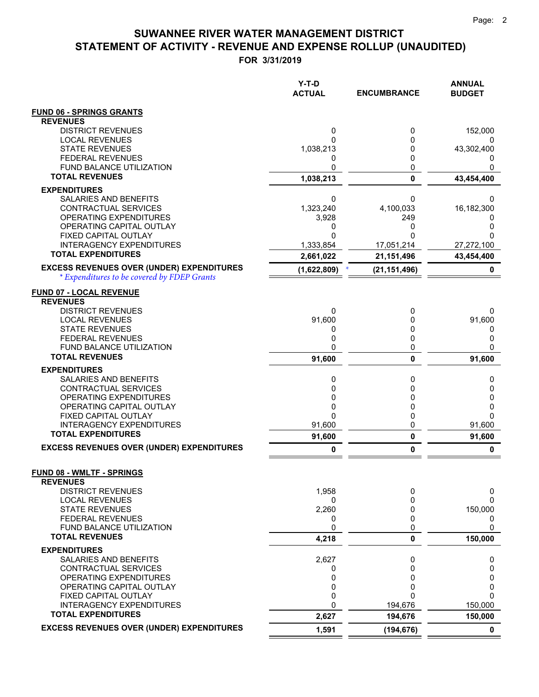**FOR 3/31/2019**

|                                                              | Y-T-D<br><b>ACTUAL</b> | <b>ENCUMBRANCE</b> | <b>ANNUAL</b><br><b>BUDGET</b> |
|--------------------------------------------------------------|------------------------|--------------------|--------------------------------|
| <b>FUND 06 - SPRINGS GRANTS</b>                              |                        |                    |                                |
| <b>REVENUES</b>                                              |                        |                    |                                |
| <b>DISTRICT REVENUES</b>                                     | 0                      | 0                  | 152,000                        |
| <b>LOCAL REVENUES</b><br><b>STATE REVENUES</b>               | 1,038,213              | 0<br>0             | 0<br>43,302,400                |
| <b>FEDERAL REVENUES</b>                                      | 0                      | 0                  | $\Omega$                       |
| FUND BALANCE UTILIZATION                                     | 0                      | 0                  | 0                              |
| <b>TOTAL REVENUES</b>                                        | 1,038,213              | $\mathbf 0$        | 43,454,400                     |
| <b>EXPENDITURES</b>                                          |                        |                    |                                |
| SALARIES AND BENEFITS                                        | 0                      | 0                  | 0                              |
| CONTRACTUAL SERVICES                                         | 1,323,240              | 4,100,033          | 16,182,300                     |
| OPERATING EXPENDITURES<br>OPERATING CAPITAL OUTLAY           | 3,928<br>0             | 249<br>0           | 0                              |
| FIXED CAPITAL OUTLAY                                         | 0                      | O                  | O                              |
| <b>INTERAGENCY EXPENDITURES</b>                              | 1,333,854              | 17,051,214         | 27,272,100                     |
| <b>TOTAL EXPENDITURES</b>                                    | 2,661,022              | 21,151,496         | 43,454,400                     |
| <b>EXCESS REVENUES OVER (UNDER) EXPENDITURES</b>             | (1,622,809)            | (21, 151, 496)     | 0                              |
| * Expenditures to be covered by FDEP Grants                  |                        |                    |                                |
| <b>FUND 07 - LOCAL REVENUE</b>                               |                        |                    |                                |
| <b>REVENUES</b>                                              |                        |                    |                                |
| <b>DISTRICT REVENUES</b>                                     | 0                      | 0                  | 0                              |
| <b>LOCAL REVENUES</b><br><b>STATE REVENUES</b>               | 91,600<br>0            | 0<br>0             | 91,600<br>0                    |
| <b>FEDERAL REVENUES</b>                                      | 0                      | 0                  | 0                              |
| <b>FUND BALANCE UTILIZATION</b>                              | 0                      | 0                  | 0                              |
| <b>TOTAL REVENUES</b>                                        | 91,600                 | $\mathbf{0}$       | 91,600                         |
| <b>EXPENDITURES</b>                                          |                        |                    |                                |
| SALARIES AND BENEFITS                                        | 0                      | 0                  | 0                              |
| CONTRACTUAL SERVICES                                         | 0                      | 0                  | 0                              |
| OPERATING EXPENDITURES<br>OPERATING CAPITAL OUTLAY           | 0<br>0                 | 0<br>0             | 0<br>0                         |
| FIXED CAPITAL OUTLAY                                         | 0                      | 0                  | 0                              |
| <b>INTERAGENCY EXPENDITURES</b>                              | 91,600                 | 0                  | 91,600                         |
| <b>TOTAL EXPENDITURES</b>                                    | 91,600                 | 0                  | 91,600                         |
| <b>EXCESS REVENUES OVER (UNDER) EXPENDITURES</b>             | 0                      | $\mathbf{0}$       | 0                              |
|                                                              |                        |                    |                                |
| <b>FUND 08 - WMLTF - SPRINGS</b><br><b>REVENUES</b>          |                        |                    |                                |
| <b>DISTRICT REVENUES</b>                                     | 1,958                  | 0                  | 0                              |
| <b>LOCAL REVENUES</b>                                        | 0                      | 0                  | 0                              |
| <b>STATE REVENUES</b>                                        | 2,260                  | 0                  | 150,000                        |
| <b>FEDERAL REVENUES</b>                                      | 0                      | 0                  | 0                              |
| FUND BALANCE UTILIZATION<br><b>TOTAL REVENUES</b>            | 0<br>4,218             | 0<br>0             | 0<br>150,000                   |
| <b>EXPENDITURES</b>                                          |                        |                    |                                |
| SALARIES AND BENEFITS                                        | 2,627                  | 0                  | 0                              |
| <b>CONTRACTUAL SERVICES</b>                                  | 0                      | 0                  | 0                              |
| OPERATING EXPENDITURES                                       | 0                      | 0                  | 0                              |
| OPERATING CAPITAL OUTLAY                                     | 0                      | 0                  | 0                              |
| FIXED CAPITAL OUTLAY                                         | 0<br>0                 | 0                  | 0                              |
| <b>INTERAGENCY EXPENDITURES</b><br><b>TOTAL EXPENDITURES</b> |                        | 194,676            | 150,000                        |
| <b>EXCESS REVENUES OVER (UNDER) EXPENDITURES</b>             | 2,627                  | 194,676            | 150,000<br>$\mathbf 0$         |
|                                                              | 1,591                  | (194, 676)         |                                |

 $=$  $\equiv$   $=$   $=$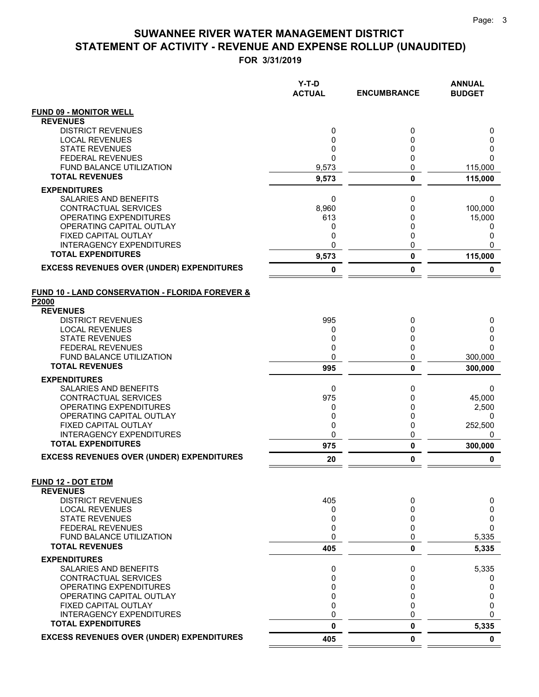|                                                      | Y-T-D<br><b>ACTUAL</b> | <b>ENCUMBRANCE</b> | <b>ANNUAL</b><br><b>BUDGET</b> |
|------------------------------------------------------|------------------------|--------------------|--------------------------------|
| <b>FUND 09 - MONITOR WELL</b>                        |                        |                    |                                |
| <b>REVENUES</b>                                      |                        |                    |                                |
| <b>DISTRICT REVENUES</b>                             | 0                      | 0                  | 0                              |
| <b>LOCAL REVENUES</b>                                | 0                      | 0                  | 0                              |
| <b>STATE REVENUES</b><br><b>FEDERAL REVENUES</b>     | 0<br>$\Omega$          | 0<br>$\mathbf 0$   | 0<br>0                         |
| <b>FUND BALANCE UTILIZATION</b>                      | 9,573                  | 0                  | 115,000                        |
| <b>TOTAL REVENUES</b>                                | 9,573                  | $\mathbf 0$        | 115,000                        |
| <b>EXPENDITURES</b>                                  |                        |                    |                                |
| <b>SALARIES AND BENEFITS</b>                         | 0                      | 0                  | 0                              |
| CONTRACTUAL SERVICES                                 | 8,960                  | 0                  | 100,000                        |
| <b>OPERATING EXPENDITURES</b>                        | 613                    | 0                  | 15,000                         |
| OPERATING CAPITAL OUTLAY                             | 0                      | 0                  | 0                              |
| FIXED CAPITAL OUTLAY<br>INTERAGENCY EXPENDITURES     | 0<br>0                 | 0<br>$\mathbf 0$   | 0<br>0                         |
| <b>TOTAL EXPENDITURES</b>                            | 9,573                  | $\pmb{0}$          | 115,000                        |
| <b>EXCESS REVENUES OVER (UNDER) EXPENDITURES</b>     | 0                      | 0                  | 0                              |
|                                                      |                        |                    |                                |
| FUND 10 - LAND CONSERVATION - FLORIDA FOREVER &      |                        |                    |                                |
| P2000<br><b>REVENUES</b>                             |                        |                    |                                |
| <b>DISTRICT REVENUES</b>                             | 995                    | 0                  | 0                              |
| <b>LOCAL REVENUES</b>                                | 0                      | 0                  | 0                              |
| <b>STATE REVENUES</b>                                | 0                      | 0                  | 0                              |
| <b>FEDERAL REVENUES</b>                              | 0                      | 0                  | $\Omega$                       |
| FUND BALANCE UTILIZATION                             | 0                      | 0                  | 300,000                        |
| <b>TOTAL REVENUES</b>                                | 995                    | 0                  | 300,000                        |
| <b>EXPENDITURES</b>                                  |                        |                    |                                |
| <b>SALARIES AND BENEFITS</b><br>CONTRACTUAL SERVICES | 0<br>975               | 0<br>0             | 0                              |
| OPERATING EXPENDITURES                               | 0                      | 0                  | 45,000<br>2,500                |
| OPERATING CAPITAL OUTLAY                             | 0                      | 0                  | 0                              |
| FIXED CAPITAL OUTLAY                                 | 0                      | 0                  | 252,500                        |
| <b>INTERAGENCY EXPENDITURES</b>                      | 0                      | 0                  | 0                              |
| <b>TOTAL EXPENDITURES</b>                            | 975                    | $\pmb{0}$          | 300,000                        |
| <b>EXCESS REVENUES OVER (UNDER) EXPENDITURES</b>     | 20                     | 0                  | 0                              |
| <b>FUND 12 - DOT ETDM</b>                            |                        |                    |                                |
| <b>REVENUES</b>                                      |                        |                    |                                |
| <b>DISTRICT REVENUES</b>                             | 405                    | 0                  | 0                              |
| <b>LOCAL REVENUES</b>                                | 0                      | 0                  | 0                              |
| <b>STATE REVENUES</b><br><b>FEDERAL REVENUES</b>     | 0<br>0                 | 0<br>0             | 0<br>0                         |
| <b>FUND BALANCE UTILIZATION</b>                      | 0                      | 0                  | 5,335                          |
| <b>TOTAL REVENUES</b>                                | 405                    | 0                  | 5,335                          |
| <b>EXPENDITURES</b>                                  |                        |                    |                                |
| SALARIES AND BENEFITS                                | 0                      | 0                  | 5,335                          |
| CONTRACTUAL SERVICES                                 | 0                      | 0                  | 0                              |
| OPERATING EXPENDITURES                               | 0                      | 0                  | 0                              |
| OPERATING CAPITAL OUTLAY<br>FIXED CAPITAL OUTLAY     | 0<br>0                 | 0<br>0             | 0<br>0                         |
| <b>INTERAGENCY EXPENDITURES</b>                      | 0                      | 0                  | 0                              |
| <b>TOTAL EXPENDITURES</b>                            | 0                      | 0                  | 5,335                          |
| <b>EXCESS REVENUES OVER (UNDER) EXPENDITURES</b>     | 405                    | 0                  | 0                              |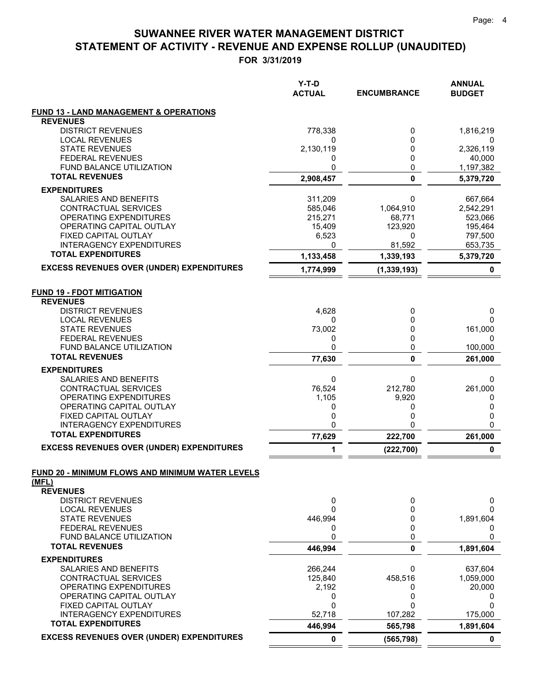|                                                                      | Y-T-D<br><b>ACTUAL</b> | <b>ENCUMBRANCE</b> | <b>ANNUAL</b><br><b>BUDGET</b> |
|----------------------------------------------------------------------|------------------------|--------------------|--------------------------------|
| <b>FUND 13 - LAND MANAGEMENT &amp; OPERATIONS</b><br><b>REVENUES</b> |                        |                    |                                |
| <b>DISTRICT REVENUES</b>                                             | 778,338                | 0                  | 1,816,219                      |
| <b>LOCAL REVENUES</b><br><b>STATE REVENUES</b>                       | 0<br>2,130,119         | 0<br>0             | 0<br>2,326,119                 |
| <b>FEDERAL REVENUES</b>                                              | 0                      | 0                  | 40,000                         |
| FUND BALANCE UTILIZATION                                             | 0                      | 0                  | 1,197,382                      |
| <b>TOTAL REVENUES</b>                                                | 2,908,457              | $\mathbf 0$        | 5,379,720                      |
| <b>EXPENDITURES</b>                                                  |                        |                    |                                |
| SALARIES AND BENEFITS                                                | 311,209                | 0                  | 667,664                        |
| CONTRACTUAL SERVICES                                                 | 585,046                | 1,064,910          | 2,542,291                      |
| OPERATING EXPENDITURES                                               | 215,271                | 68,771             | 523,066                        |
| OPERATING CAPITAL OUTLAY                                             | 15,409                 | 123,920            | 195,464                        |
| FIXED CAPITAL OUTLAY<br><b>INTERAGENCY EXPENDITURES</b>              | 6,523<br>0             | 0<br>81,592        | 797,500<br>653,735             |
| <b>TOTAL EXPENDITURES</b>                                            | 1,133,458              | 1,339,193          | 5,379,720                      |
| <b>EXCESS REVENUES OVER (UNDER) EXPENDITURES</b>                     | 1,774,999              | (1, 339, 193)      | 0                              |
| <b>FUND 19 - FDOT MITIGATION</b>                                     |                        |                    |                                |
| <b>REVENUES</b>                                                      |                        |                    |                                |
| <b>DISTRICT REVENUES</b><br><b>LOCAL REVENUES</b>                    | 4,628<br>0             | 0<br>$\Omega$      | 0<br>0                         |
| <b>STATE REVENUES</b>                                                | 73,002                 | 0                  | 161,000                        |
| <b>FEDERAL REVENUES</b>                                              | 0                      | 0                  | 0                              |
| <b>FUND BALANCE UTILIZATION</b>                                      | 0                      | 0                  | 100,000                        |
| <b>TOTAL REVENUES</b>                                                | 77,630                 | $\mathbf{0}$       | 261,000                        |
| <b>EXPENDITURES</b>                                                  |                        |                    |                                |
| SALARIES AND BENEFITS                                                | 0                      | 0                  | 0                              |
| CONTRACTUAL SERVICES                                                 | 76,524                 | 212,780            | 261,000                        |
| OPERATING EXPENDITURES                                               | 1,105                  | 9,920              | 0                              |
| OPERATING CAPITAL OUTLAY                                             | 0                      | 0                  | 0                              |
| FIXED CAPITAL OUTLAY<br><b>INTERAGENCY EXPENDITURES</b>              | 0<br>0                 | 0<br>0             | 0<br>0                         |
| <b>TOTAL EXPENDITURES</b>                                            | 77,629                 | 222,700            | 261,000                        |
| <b>EXCESS REVENUES OVER (UNDER) EXPENDITURES</b>                     | 1                      | (222, 700)         | 0                              |
| FUND 20 - MINIMUM FLOWS AND MINIMUM WATER LEVELS                     |                        |                    |                                |
| (MFL)                                                                |                        |                    |                                |
| <b>REVENUES</b>                                                      |                        |                    |                                |
| <b>DISTRICT REVENUES</b>                                             | 0                      | 0                  | 0                              |
| <b>LOCAL REVENUES</b>                                                | 0                      | 0                  | 0                              |
| <b>STATE REVENUES</b><br><b>FEDERAL REVENUES</b>                     | 446,994<br>0           | 0<br>0             | 1,891,604<br>0                 |
| FUND BALANCE UTILIZATION                                             | 0                      | 0                  | 0                              |
| <b>TOTAL REVENUES</b>                                                | 446,994                | $\pmb{0}$          | 1,891,604                      |
| <b>EXPENDITURES</b>                                                  |                        |                    |                                |
| <b>SALARIES AND BENEFITS</b>                                         | 266,244                | 0                  | 637.604                        |
| CONTRACTUAL SERVICES                                                 | 125,840                | 458,516            | 1,059,000                      |
| OPERATING EXPENDITURES                                               | 2,192                  | 0                  | 20,000                         |
| OPERATING CAPITAL OUTLAY<br>FIXED CAPITAL OUTLAY                     | 0<br>0                 | 0<br>U             | 0<br>0                         |
| <b>INTERAGENCY EXPENDITURES</b>                                      | 52,718                 | 107,282            | 175,000                        |
| <b>TOTAL EXPENDITURES</b>                                            | 446,994                | 565,798            | 1,891,604                      |
| <b>EXCESS REVENUES OVER (UNDER) EXPENDITURES</b>                     | 0                      | (565, 798)         | 0                              |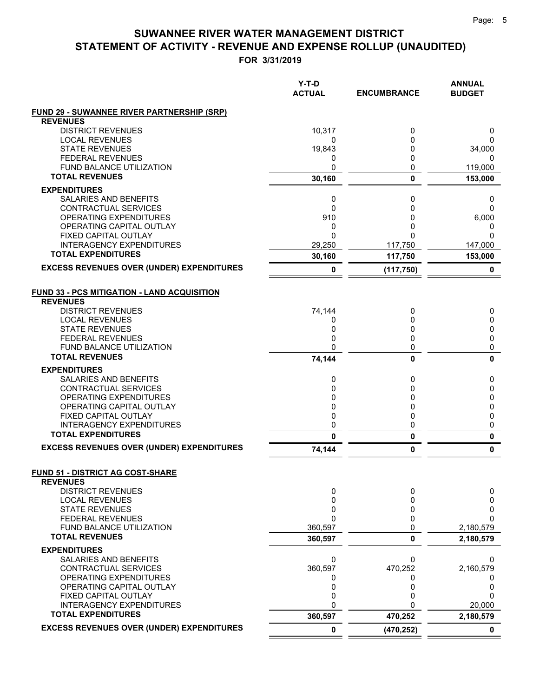|                                                          | Y-T-D<br><b>ACTUAL</b> | <b>ENCUMBRANCE</b> | <b>ANNUAL</b><br><b>BUDGET</b> |
|----------------------------------------------------------|------------------------|--------------------|--------------------------------|
| <b>FUND 29 - SUWANNEE RIVER PARTNERSHIP (SRP)</b>        |                        |                    |                                |
| <b>REVENUES</b>                                          |                        |                    |                                |
| <b>DISTRICT REVENUES</b>                                 | 10,317                 | 0                  | 0                              |
| <b>LOCAL REVENUES</b><br><b>STATE REVENUES</b>           | 0<br>19,843            | 0<br>0             | 0<br>34,000                    |
| <b>FEDERAL REVENUES</b>                                  | 0                      | 0                  | 0                              |
| <b>FUND BALANCE UTILIZATION</b>                          | 0                      | 0                  | 119,000                        |
| <b>TOTAL REVENUES</b>                                    | 30,160                 | 0                  | 153,000                        |
| <b>EXPENDITURES</b>                                      |                        |                    |                                |
| SALARIES AND BENEFITS                                    | 0                      | 0                  | 0                              |
| CONTRACTUAL SERVICES                                     | $\mathbf{0}$           | 0                  | 0                              |
| OPERATING EXPENDITURES                                   | 910                    | 0                  | 6,000                          |
| OPERATING CAPITAL OUTLAY                                 | 0<br>$\Omega$          | 0                  | 0<br>$\Omega$                  |
| FIXED CAPITAL OUTLAY<br><b>INTERAGENCY EXPENDITURES</b>  | 29,250                 | 0<br>117,750       | 147,000                        |
| <b>TOTAL EXPENDITURES</b>                                | 30,160                 | 117,750            | 153,000                        |
| <b>EXCESS REVENUES OVER (UNDER) EXPENDITURES</b>         |                        |                    |                                |
|                                                          | 0                      | (117, 750)         | 0                              |
| <b>FUND 33 - PCS MITIGATION - LAND ACQUISITION</b>       |                        |                    |                                |
| <b>REVENUES</b>                                          |                        |                    |                                |
| <b>DISTRICT REVENUES</b>                                 | 74,144                 | 0                  | 0                              |
| <b>LOCAL REVENUES</b>                                    | 0                      | 0                  | 0                              |
| <b>STATE REVENUES</b>                                    | 0                      | 0                  | 0                              |
| <b>FEDERAL REVENUES</b>                                  | 0                      | 0                  | 0                              |
| <b>FUND BALANCE UTILIZATION</b><br><b>TOTAL REVENUES</b> | 0                      | 0                  | 0                              |
|                                                          | 74,144                 | 0                  | $\mathbf{0}$                   |
| <b>EXPENDITURES</b>                                      |                        |                    |                                |
| SALARIES AND BENEFITS                                    | 0                      | 0                  | 0                              |
| CONTRACTUAL SERVICES<br>OPERATING EXPENDITURES           | $\mathbf{0}$<br>0      | 0<br>0             | 0                              |
| OPERATING CAPITAL OUTLAY                                 | 0                      | 0                  | 0<br>0                         |
| FIXED CAPITAL OUTLAY                                     | 0                      | 0                  | 0                              |
| <b>INTERAGENCY EXPENDITURES</b>                          | 0                      | 0                  | 0                              |
| <b>TOTAL EXPENDITURES</b>                                | $\mathbf{0}$           | 0                  | 0                              |
| <b>EXCESS REVENUES OVER (UNDER) EXPENDITURES</b>         | 74,144                 | 0                  | 0                              |
|                                                          |                        |                    |                                |
| FUND 51 - DISTRICT AG COST-SHARE<br><b>REVENUES</b>      |                        |                    |                                |
| <b>DISTRICT REVENUES</b>                                 | 0                      | 0                  | 0                              |
| <b>LOCAL REVENUES</b>                                    | $\mathbf 0$            | 0                  | 0                              |
| <b>STATE REVENUES</b>                                    | 0                      | 0                  | 0                              |
| <b>FEDERAL REVENUES</b>                                  | 0                      | 0                  | $\Omega$                       |
| FUND BALANCE UTILIZATION                                 | 360,597                | 0                  | 2,180,579                      |
| <b>TOTAL REVENUES</b>                                    | 360,597                | 0                  | 2,180,579                      |
| <b>EXPENDITURES</b>                                      |                        |                    |                                |
| SALARIES AND BENEFITS                                    | 0                      | 0                  | 0                              |
| CONTRACTUAL SERVICES                                     | 360,597                | 470,252            | 2,160,579                      |
| OPERATING EXPENDITURES<br>OPERATING CAPITAL OUTLAY       | 0                      | 0                  | 0<br>0                         |
| FIXED CAPITAL OUTLAY                                     | 0<br>0                 | 0<br>0             | 0                              |
| <b>INTERAGENCY EXPENDITURES</b>                          | 0                      |                    | 20,000                         |
| <b>TOTAL EXPENDITURES</b>                                | 360,597                | 470,252            | 2,180,579                      |
| <b>EXCESS REVENUES OVER (UNDER) EXPENDITURES</b>         | $\mathbf 0$            | (470, 252)         | 0                              |